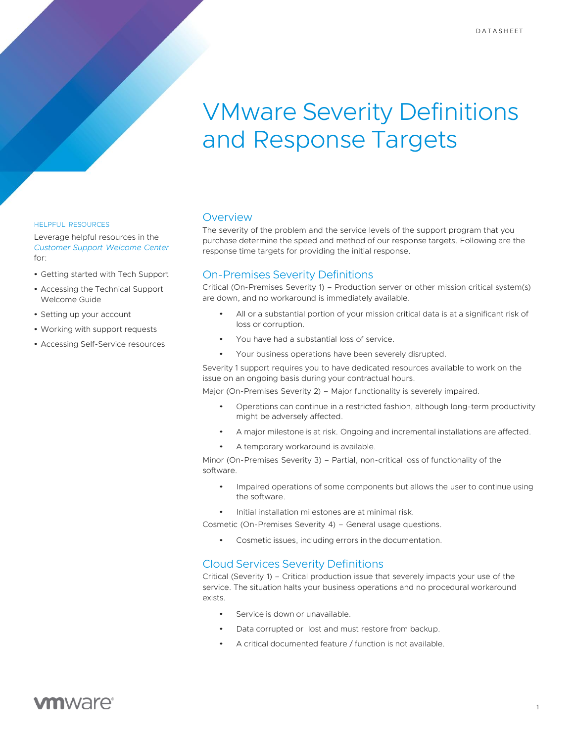# VMware Severity Definitions and Response Targets

#### HELPFUL RESOURCES

Leverage helpful resources in the *[Customer](https://www.vmware.com/support/welcome-center.html) Support Welcome Center* for:

- Getting started with Tech Support
- Accessing the Technical Support Welcome Guide
- Setting up your account
- Working with support requests
- Accessing Self-Service resources

#### Overview

The severity of the problem and the service levels of the support program that you purchase determine the speed and method of our response targets. Following are the response time targets for providing the initial response.

#### On-Premises Severity Definitions

Critical (On-Premises Severity 1) – Production server or other mission critical system(s) are down, and no workaround is immediately available.

- All or a substantial portion of your mission critical data is at a significant risk of loss or corruption.
- You have had a substantial loss of service.
- Your business operations have been severely disrupted.

Severity 1 support requires you to have dedicated resources available to work on the issue on an ongoing basis during your contractual hours.

Major (On-Premises Severity 2) – Major functionality is severely impaired.

- Operations can continue in a restricted fashion, although long-term productivity might be adversely affected.
- A major milestone is at risk. Ongoing and incremental installations are affected.
- A temporary workaround is available.

Minor (On-Premises Severity 3) – Partial, non-critical loss of functionality of the software.

- Impaired operations of some components but allows the user to continue using the software.
- Initial installation milestones are at minimal risk.

Cosmetic (On-Premises Severity 4) – General usage questions.

Cosmetic issues, including errors in the documentation.

### Cloud Services Severity Definitions

Critical (Severity 1) – Critical production issue that severely impacts your use of the service. The situation halts your business operations and no procedural workaround exists.

- Service is down or unavailable.
- Data corrupted or lost and must restore from backup.
- A critical documented feature / function is not available.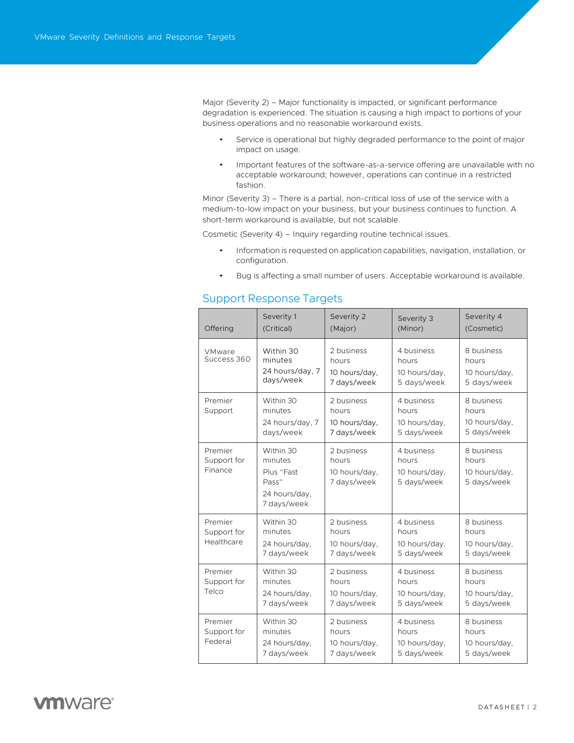Major (Severity 2) – Major functionality is impacted, or significant performance degradation is experienced. The situation is causing a high impact to portions of your business operations and no reasonable workaround exists.

- Service is operational but highly degraded performance to the point of major impact on usage.
- Important features of the software-as-a-service offering are unavailable with no acceptable workaround; however, operations can continue in a restricted fashion.

Minor (Severity 3) – There is a partial, non-critical loss of use of the service with a medium-to-low impact on your business, but your business continues to function. A short-term workaround is available, but not scalable.

Cosmetic (Severity 4) – Inquiry regarding routine technical issues.

- Information is requested on application capabilities, navigation, installation, or configuration.
- Bug is affecting a small number of users. Acceptable workaround is available.

#### Support Response Targets

| Offering                             | Severity 1<br>(Critical)                                                    | Severity 2<br>(Major)                               | Severity 3<br>(Minor)                               | Severity 4<br>(Cosmetic)                            |
|--------------------------------------|-----------------------------------------------------------------------------|-----------------------------------------------------|-----------------------------------------------------|-----------------------------------------------------|
| VMware<br>Success 360                | Within 30<br>minutes<br>24 hours/day, 7<br>days/week                        | 2 business<br>hours<br>10 hours/day.<br>7 days/week | 4 business<br>hours<br>10 hours/day.<br>5 days/week | 8 business<br>hours<br>10 hours/day,<br>5 days/week |
| Premier<br>Support                   | Within 30<br>minutes<br>24 hours/day, 7<br>days/week                        | 2 business<br>hours<br>10 hours/day.<br>7 days/week | 4 business<br>hours<br>10 hours/day.<br>5 days/week | 8 business<br>hours<br>10 hours/day.<br>5 days/week |
| Premier<br>Support for<br>Finance    | Within 30<br>minutes<br>Plus "Fast<br>Pass"<br>24 hours/day,<br>7 days/week | 2 business<br>hours<br>10 hours/day,<br>7 days/week | 4 business<br>hours<br>10 hours/day,<br>5 days/week | 8 business<br>hours<br>10 hours/day,<br>5 days/week |
| Premier<br>Support for<br>Healthcare | Within 30<br>minutes<br>24 hours/day,<br>7 days/week                        | 2 business<br>hours<br>10 hours/day,<br>7 days/week | 4 business<br>hours<br>10 hours/day,<br>5 days/week | 8 business<br>hours<br>10 hours/day,<br>5 days/week |
| Premier<br>Support for<br>Telco      | Within 30<br>minutes<br>24 hours/day.<br>7 days/week                        | 2 business<br>hours<br>10 hours/day.<br>7 days/week | 4 business<br>hours<br>10 hours/day.<br>5 days/week | 8 business<br>hours<br>10 hours/day.<br>5 days/week |
| Premier<br>Support for<br>Federal    | Within 30<br>minutes<br>24 hours/day.<br>7 days/week                        | 2 business<br>hours<br>10 hours/day,<br>7 days/week | 4 business<br>hours<br>10 hours/day,<br>5 days/week | 8 business<br>hours<br>10 hours/day.<br>5 days/week |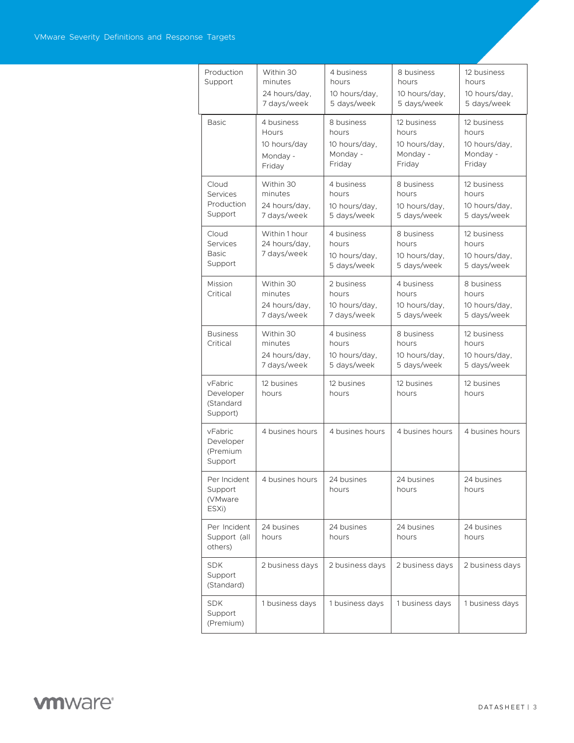| Production<br>Support                         | Within 30<br>minutes<br>24 hours/day,<br>7 days/week      | 4 business<br>hours<br>10 hours/day.<br>5 days/week        | 8 business<br>hours<br>10 hours/day.<br>5 days/week         | 12 business<br>hours<br>10 hours/day,<br>5 days/week        |
|-----------------------------------------------|-----------------------------------------------------------|------------------------------------------------------------|-------------------------------------------------------------|-------------------------------------------------------------|
| <b>Basic</b>                                  | 4 business<br>Hours<br>10 hours/day<br>Monday -<br>Friday | 8 business<br>hours<br>10 hours/day,<br>Monday -<br>Friday | 12 business<br>hours<br>10 hours/day,<br>Monday -<br>Friday | 12 business<br>hours<br>10 hours/day,<br>Monday -<br>Friday |
| Cloud<br>Services<br>Production<br>Support    | Within 30<br>minutes<br>24 hours/day,<br>7 days/week      | 4 business<br>hours<br>10 hours/day,<br>5 days/week        | 8 business<br>hours<br>10 hours/day,<br>5 days/week         | 12 business<br>hours<br>10 hours/day,<br>5 days/week        |
| Cloud<br>Services<br><b>Basic</b><br>Support  | Within 1 hour<br>24 hours/day,<br>7 days/week             | 4 business<br>hours<br>10 hours/day,<br>5 days/week        | 8 business<br>hours<br>10 hours/day,<br>5 days/week         | 12 business<br>hours<br>10 hours/day,<br>5 days/week        |
| Mission<br>Critical                           | Within 30<br>minutes<br>24 hours/day,<br>7 days/week      | 2 business<br>hours<br>10 hours/day,<br>7 days/week        | 4 business<br>hours<br>10 hours/day.<br>5 days/week         | 8 business<br>hours<br>10 hours/day,<br>5 days/week         |
| <b>Business</b><br>Critical                   | Within 30<br>minutes<br>24 hours/day,<br>7 days/week      | 4 business<br>hours<br>10 hours/day,<br>5 days/week        | 8 business<br>hours<br>10 hours/day,<br>5 days/week         | 12 business<br>hours<br>10 hours/day,<br>5 days/week        |
| vFabric<br>Developer<br>(Standard<br>Support) | 12 busines<br>hours                                       | 12 busines<br>hours                                        | 12 busines<br>hours                                         | 12 busines<br>hours                                         |
| vFabric<br>Developer<br>(Premium<br>Support   | 4 busines hours                                           | 4 busines hours                                            | 4 busines hours                                             | 4 busines hours                                             |
| Per Incident<br>Support<br>(VMware<br>ESXi)   | 4 busines hours                                           | 24 busines<br>hours                                        | 24 busines<br>hours                                         | 24 busines<br>hours                                         |
| Per Incident<br>Support (all<br>others)       | 24 busines<br>hours                                       | 24 busines<br>hours                                        | 24 busines<br>hours                                         | 24 busines<br>hours                                         |
| <b>SDK</b><br>Support<br>(Standard)           | 2 business days                                           | 2 business days                                            | 2 business days                                             | 2 business days                                             |
| <b>SDK</b><br>Support<br>(Premium)            | 1 business days                                           | 1 business days                                            | 1 business days                                             | 1 business days                                             |

## **vm**ware<sup>®</sup>